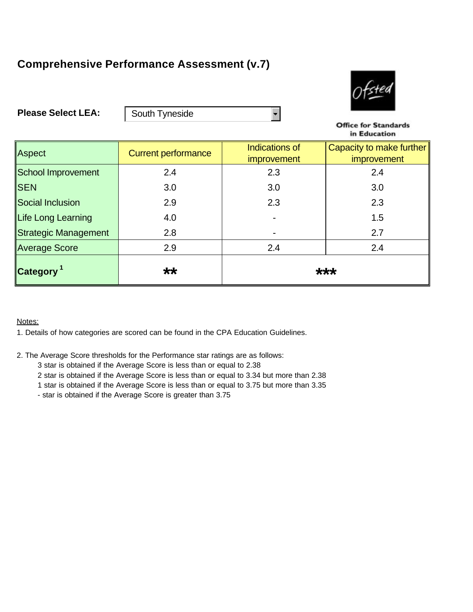## **Comprehensive Performance Assessment (v.7)**



**Please Select LEA:**

South Tyneside

**Office for Standards** in Education

| Aspect                      | <b>Current performance</b> | <b>Indications of</b> | Capacity to make further |
|-----------------------------|----------------------------|-----------------------|--------------------------|
|                             |                            | <i>improvement</i>    | improvement              |
| <b>School Improvement</b>   | 2.4                        | 2.3                   | 2.4                      |
| <b>SEN</b>                  | 3.0                        | 3.0                   | 3.0                      |
| Social Inclusion            | 2.9                        | 2.3                   | 2.3                      |
| Life Long Learning          | 4.0                        |                       | 1.5                      |
| <b>Strategic Management</b> | 2.8                        | $\blacksquare$        | 2.7                      |
| <b>Average Score</b>        | 2.9                        | 2.4                   | 2.4                      |
| Category <sup>1</sup>       | **                         | ***                   |                          |

 $\blacksquare$ 

Notes:

1. Details of how categories are scored can be found in the CPA Education Guidelines.

2. The Average Score thresholds for the Performance star ratings are as follows:

3 star is obtained if the Average Score is less than or equal to 2.38

2 star is obtained if the Average Score is less than or equal to 3.34 but more than 2.38

1 star is obtained if the Average Score is less than or equal to 3.75 but more than 3.35

- star is obtained if the Average Score is greater than 3.75